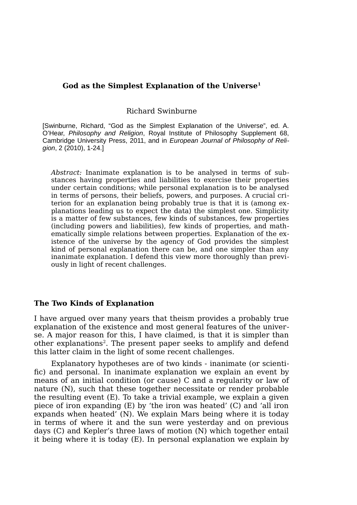# **God as the Simplest Explanation of the Universe<sup>1</sup>**

### Richard Swinburne

[Swinburne, Richard, "God as the Simplest Explanation of the Universe", ed. A. O'Hear, *Philosophy and Religion*, Royal Institute of Philosophy Supplement 68, Cambridge University Press, 2011, and in *European Journal of Philosophy of Religion*, 2 (2010), 1-24.]

*Abstract:* Inanimate explanation is to be analysed in terms of substances having properties and liabilities to exercise their properties under certain conditions; while personal explanation is to be analysed in terms of persons, their beliefs, powers, and purposes. A crucial criterion for an explanation being probably true is that it is (among explanations leading us to expect the data) the simplest one. Simplicity is a matter of few substances, few kinds of substances, few properties (including powers and liabilities), few kinds of properties, and mathematically simple relations between properties. Explanation of the existence of the universe by the agency of God provides the simplest kind of personal explanation there can be, and one simpler than any inanimate explanation. I defend this view more thoroughly than previously in light of recent challenges.

#### **The Two Kinds of Explanation**

I have argued over many years that theism provides a probably true explanation of the existence and most general features of the universe. A major reason for this, I have claimed, is that it is simpler than other explanations<sup>2</sup>. The present paper seeks to amplify and defend this latter claim in the light of some recent challenges.

Explanatory hypotheses are of two kinds - inanimate (or scientific) and personal. In inanimate explanation we explain an event by means of an initial condition (or cause) C and a regularity or law of nature (N), such that these together necessitate or render probable the resulting event (E). To take a trivial example, we explain a given piece of iron expanding (E) by 'the iron was heated' (C) and 'all iron expands when heated' (N). We explain Mars being where it is today in terms of where it and the sun were yesterday and on previous days (C) and Kepler's three laws of motion (N) which together entail it being where it is today (E). In personal explanation we explain by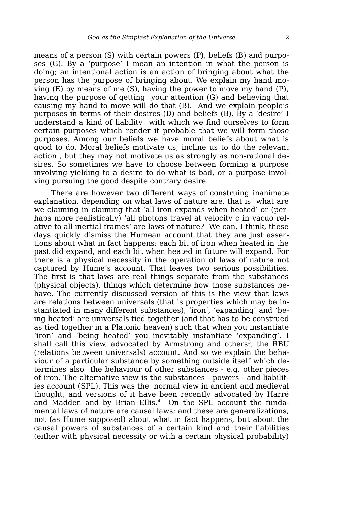means of a person (S) with certain powers (P), beliefs (B) and purposes (G). By a 'purpose' I mean an intention in what the person is doing; an intentional action is an action of bringing about what the person has the purpose of bringing about. We explain my hand moving  $(E)$  by means of me  $(S)$ , having the power to move my hand  $(P)$ , having the purpose of getting your attention (G) and believing that causing my hand to move will do that (B). And we explain people's purposes in terms of their desires (D) and beliefs (B). By a 'desire' I understand a kind of liability with which we find ourselves to form certain purposes which render it probable that we will form those purposes. Among our beliefs we have moral beliefs about what is good to do. Moral beliefs motivate us, incline us to do the relevant action , but they may not motivate us as strongly as non-rational desires. So sometimes we have to choose between forming a purpose involving yielding to a desire to do what is bad, or a purpose involving pursuing the good despite contrary desire.

There are however two different ways of construing inanimate explanation, depending on what laws of nature are, that is what are we claiming in claiming that 'all iron expands when heated' or (perhaps more realistically) 'all photons travel at velocity c in vacuo relative to all inertial frames' are laws of nature? We can, I think, these days quickly dismiss the Humean account that they are just assertions about what in fact happens: each bit of iron when heated in the past did expand, and each bit when heated in future will expand. For there is a physical necessity in the operation of laws of nature not captured by Hume's account. That leaves two serious possibilities. The first is that laws are real things separate from the substances (physical objects), things which determine how those substances behave. The currently discussed version of this is the view that laws are relations between universals (that is properties which may be instantiated in many different substances); 'iron', 'expanding' and 'being heated' are universals tied together (and that has to be construed as tied together in a Platonic heaven) such that when you instantiate 'iron' and 'being heated' you inevitably instantiate 'expanding'. I shall call this view, advocated by Armstrong and others<sup>3</sup>, the RBU (relations between universals) account. And so we explain the behaviour of a particular substance by something outside itself which determines also the behaviour of other substances - e.g. other pieces of iron. The alternative view is the substances - powers - and liabilities account (SPL). This was the normal view in ancient and medieval thought, and versions of it have been recently advocated by Harré and Madden and by Brian Ellis.<sup>4</sup> On the SPL account the fundamental laws of nature are causal laws; and these are generalizations, not (as Hume supposed) about what in fact happens, but about the causal powers of substances of a certain kind and their liabilities (either with physical necessity or with a certain physical probability)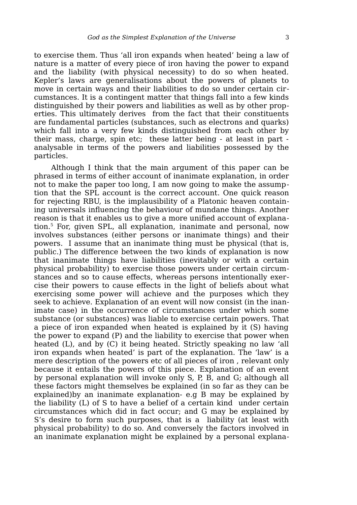to exercise them. Thus 'all iron expands when heated' being a law of nature is a matter of every piece of iron having the power to expand and the liability (with physical necessity) to do so when heated. Kepler's laws are generalisations about the powers of planets to move in certain ways and their liabilities to do so under certain circumstances. It is a contingent matter that things fall into a few kinds distinguished by their powers and liabilities as well as by other properties. This ultimately derives from the fact that their constituents are fundamental particles (substances, such as electrons and quarks) which fall into a very few kinds distinguished from each other by their mass, charge, spin etc; these latter being - at least in part analysable in terms of the powers and liabilities possessed by the particles.

Although I think that the main argument of this paper can be phrased in terms of either account of inanimate explanation, in order not to make the paper too long, I am now going to make the assumption that the SPL account is the correct account. One quick reason for rejecting RBU, is the implausibility of a Platonic heaven containing universals influencing the behaviour of mundane things. Another reason is that it enables us to give a more unified account of explanation.<sup>5</sup> For, given SPL, all explanation, inanimate and personal, now involves substances (either persons or inanimate things) and their powers. I assume that an inanimate thing must be physical (that is, public.) The difference between the two kinds of explanation is now that inanimate things have liabilities (inevitably or with a certain physical probability) to exercise those powers under certain circumstances and so to cause effects, whereas persons intentionally exercise their powers to cause effects in the light of beliefs about what exercising some power will achieve and the purposes which they seek to achieve. Explanation of an event will now consist (in the inanimate case) in the occurrence of circumstances under which some substance (or substances) was liable to exercise certain powers. That a piece of iron expanded when heated is explained by it (S) having the power to expand (P) and the liability to exercise that power when heated (L), and by (C) it being heated. Strictly speaking no law 'all iron expands when heated' is part of the explanation. The 'law' is a mere description of the powers etc of all pieces of iron , relevant only because it entails the powers of this piece. Explanation of an event by personal explanation will invoke only S, P, B, and G; although all these factors might themselves be explained (in so far as they can be explained)by an inanimate explanation- e.g B may be explained by the liability (L) of S to have a belief of a certain kind under certain circumstances which did in fact occur; and G may be explained by S's desire to form such purposes, that is a liability (at least with physical probability) to do so. And conversely the factors involved in an inanimate explanation might be explained by a personal explana-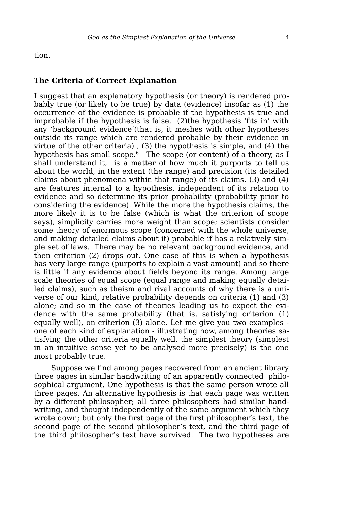### tion.

### **The Criteria of Correct Explanation**

I suggest that an explanatory hypothesis (or theory) is rendered probably true (or likely to be true) by data (evidence) insofar as (1) the occurrence of the evidence is probable if the hypothesis is true and improbable if the hypothesis is false, (2)the hypothesis 'fits in' with any 'background evidence'(that is, it meshes with other hypotheses outside its range which are rendered probable by their evidence in virtue of the other criteria) , (3) the hypothesis is simple, and (4) the hypothesis has small scope.<sup>6</sup> The scope (or content) of a theory, as I shall understand it, is a matter of how much it purports to tell us about the world, in the extent (the range) and precision (its detailed claims about phenomena within that range) of its claims. (3) and (4) are features internal to a hypothesis, independent of its relation to evidence and so determine its prior probability (probability prior to considering the evidence). While the more the hypothesis claims, the more likely it is to be false (which is what the criterion of scope says), simplicity carries more weight than scope; scientists consider some theory of enormous scope (concerned with the whole universe, and making detailed claims about it) probable if has a relatively simple set of laws. There may be no relevant background evidence, and then criterion (2) drops out. One case of this is when a hypothesis has very large range (purports to explain a vast amount) and so there is little if any evidence about fields beyond its range. Among large scale theories of equal scope (equal range and making equally detailed claims), such as theism and rival accounts of why there is a universe of our kind, relative probability depends on criteria (1) and (3) alone; and so in the case of theories leading us to expect the evidence with the same probability (that is, satisfying criterion (1) equally well), on criterion (3) alone. Let me give you two examples one of each kind of explanation - illustrating how, among theories satisfying the other criteria equally well, the simplest theory (simplest in an intuitive sense yet to be analysed more precisely) is the one most probably true.

Suppose we find among pages recovered from an ancient library three pages in similar handwriting of an apparently connected philosophical argument. One hypothesis is that the same person wrote all three pages. An alternative hypothesis is that each page was written by a different philosopher; all three philosophers had similar handwriting, and thought independently of the same argument which they wrote down; but only the first page of the first philosopher's text, the second page of the second philosopher's text, and the third page of the third philosopher's text have survived. The two hypotheses are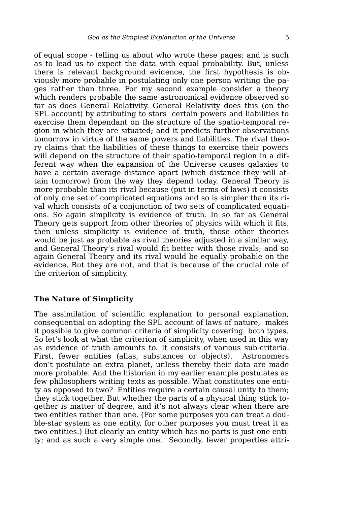of equal scope - telling us about who wrote these pages; and is such as to lead us to expect the data with equal probability. But, unless there is relevant background evidence, the first hypothesis is obviously more probable in postulating only one person writing the pages rather than three. For my second example consider a theory which renders probable the same astronomical evidence observed so far as does General Relativity. General Relativity does this (on the SPL account) by attributing to stars certain powers and liabilities to exercise them dependant on the structure of the spatio-temporal region in which they are situated; and it predicts further observations tomorrow in virtue of the same powers and liabilities. The rival theory claims that the liabilities of these things to exercise their powers will depend on the structure of their spatio-temporal region in a different way when the expansion of the Universe causes galaxies to have a certain average distance apart (which distance they will attain tomorrow) from the way they depend today. General Theory is more probable than its rival because (put in terms of laws) it consists of only one set of complicated equations and so is simpler than its rival which consists of a conjunction of two sets of complicated equations. So again simplicity is evidence of truth. In so far as General Theory gets support from other theories of physics with which it fits, then unless simplicity is evidence of truth, those other theories would be just as probable as rival theories adjusted in a similar way, and General Theory's rival would fit better with those rivals; and so again General Theory and its rival would be equally probable on the evidence. But they are not, and that is because of the crucial role of the criterion of simplicity.

## **The Nature of Simplicity**

The assimilation of scientific explanation to personal explanation, consequential on adopting the SPL account of laws of nature, makes it possible to give common criteria of simplicity covering both types. So let's look at what the criterion of simplicity, when used in this way as evidence of truth amounts to. It consists of various sub-criteria. First, fewer entities (alias, substances or objects). Astronomers don't postulate an extra planet, unless thereby their data are made more probable. And the historian in my earlier example postulates as few philosophers writing texts as possible. What constitutes one entity as opposed to two? Entities require a certain causal unity to them; they stick together. But whether the parts of a physical thing stick together is matter of degree, and it's not always clear when there are two entities rather than one. (For some purposes you can treat a double-star system as one entity, for other purposes you must treat it as two entities.) But clearly an entity which has no parts is just one entity; and as such a very simple one. Secondly, fewer properties attri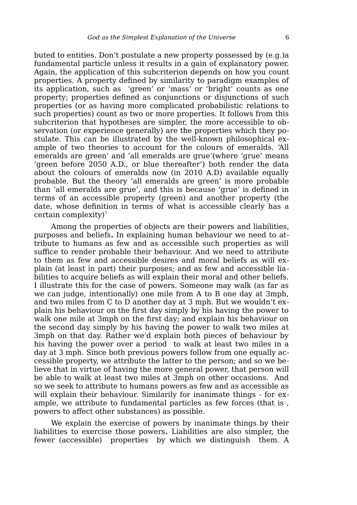buted to entities. Don't postulate a new property possessed by (e.g.)a fundamental particle unless it results in a gain of explanatory power. Again, the application of this subcriterion depends on how you count properties. A property defined by similarity to paradigm examples of its application, such as 'green' or 'mass' or 'bright' counts as one property; properties defined as conjunctions or disjunctions of such properties (or as having more complicated probabilistic relations to such properties) count as two or more properties. It follows from this subcriterion that hypotheses are simpler, the more accessible to observation (or experience generally) are the properties which they postulate. This can be illustrated by the well-known philosophical example of two theories to account for the colours of emeralds. 'All emeralds are green' and 'all emeralds are grue'(where 'grue' means 'green before 2050 A.D., or blue thereafter') both render the data about the colours of emeralds now (in 2010 A.D) available equally probable. But the theory 'all emeralds are green' is more probable than 'all emeralds are grue', and this is because 'grue' is defined in terms of an accessible property (green) and another property (the date, whose definition in terms of what is accessible clearly has a certain complexity)<sup>7.</sup>

Among the properties of objects are their powers and liabilities, purposes and beliefs**.** In explaining human behaviour we need to attribute to humans as few and as accessible such properties as will suffice to render probable their behaviour. And we need to attribute to them as few and accessible desires and moral beliefs as will explain (at least in part) their purposes; and as few and accessible liabilities to acquire beliefs as will explain their moral and other beliefs. I illustrate this for the case of powers. Someone may walk (as far as we can judge, intentionally) one mile from A to B one day at 3mph, and two miles from C to D another day at 3 mph. But we wouldn't explain his behaviour on the first day simply by his having the power to walk one mile at 3mph on the first day; and explain his behaviour on the second day simply by his having the power to walk two miles at 3mph on that day. Rather we'd explain both pieces of behaviour by his having the power over a period to walk at least two miles in a day at 3 mph. Since both previous powers follow from one equally accessible property, we attribute the latter to the person; and so we believe that in virtue of having the more general power, that person will be able to walk at least two miles at 3mph on other occasions. And so we seek to attribute to humans powers as few and as accessible as will explain their behaviour. Similarily for inanimate things - for example, we attribute to fundamental particles as few forces (that is , powers to affect other substances) as possible.

We explain the exercise of powers by inanimate things by their liabilities to exercise those powers**.** Liabilities are also simpler, the fewer (accessible) properties by which we distinguish them. A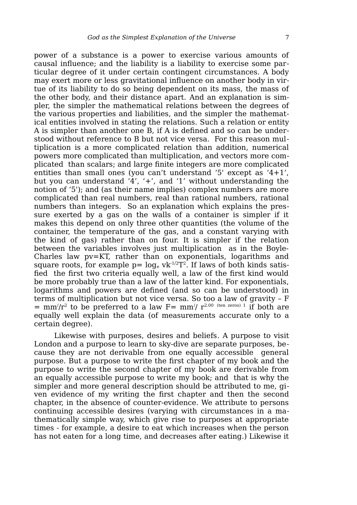power of a substance is a power to exercise various amounts of causal influence; and the liability is a liability to exercise some particular degree of it under certain contingent circumstances. A body may exert more or less gravitational influence on another body in virtue of its liability to do so being dependent on its mass, the mass of the other body, and their distance apart. And an explanation is simpler, the simpler the mathematical relations between the degrees of the various properties and liabilities, and the simpler the mathematical entities involved in stating the relations. Such a relation or entity A is simpler than another one B, if A is defined and so can be understood without reference to B but not vice versa. For this reason multiplication is a more complicated relation than addition, numerical powers more complicated than multiplication, and vectors more complicated than scalars; and large finite integers are more complicated entities than small ones (you can't understand '5' except as '4+1', but you can understand '4', '+', and '1' without understanding the notion of '5'); and (as their name implies) complex numbers are more complicated than real numbers, real than rational numbers, rational numbers than integers. So an explanation which explains the pressure exerted by a gas on the walls of a container is simpler if it makes this depend on only three other quantities (the volume of the container, the temperature of the gas, and a constant varying with the kind of gas) rather than on four. It is simpler if the relation between the variables involves just multiplication as in the Boyle-Charles law pv=KT, rather than on exponentials, logarithms and square roots, for example  $p = log_e v k^{1/2}T^2$ . If laws of both kinds satisfied the first two criteria equally well, a law of the first kind would be more probably true than a law of the latter kind. For exponentials, logarithms and powers are defined (and so can be understood) in terms of multiplication but not vice versa. So too a law of gravity – F  $=$  mm/ $r^2$  to be preferred to a law F= mm//  $r^{2.00}$  (ten zeros) 1 if both are equally well explain the data (of measurements accurate only to a certain degree).

Likewise with purposes, desires and beliefs. A purpose to visit London and a purpose to learn to sky-dive are separate purposes, because they are not derivable from one equally accessible general purpose. But a purpose to write the first chapter of my book and the purpose to write the second chapter of my book are derivable from an equally accessible purpose to write my book; and that is why the simpler and more general description should be attributed to me, given evidence of my writing the first chapter and then the second chapter, in the absence of counter-evidence. We attribute to persons continuing accessible desires (varying with circumstances in a mathematically simple way, which give rise to purposes at appropriate times - for example, a desire to eat which increases when the person has not eaten for a long time, and decreases after eating.) Likewise it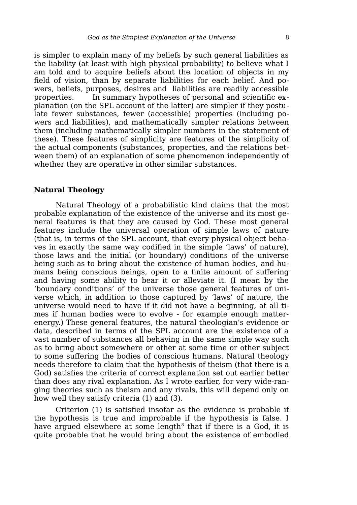is simpler to explain many of my beliefs by such general liabilities as the liability (at least with high physical probability) to believe what I am told and to acquire beliefs about the location of objects in my field of vision, than by separate liabilities for each belief. And powers, beliefs, purposes, desires and liabilities are readily accessible properties. In summary hypotheses of personal and scientific explanation (on the SPL account of the latter) are simpler if they postulate fewer substances, fewer (accessible) properties (including powers and liabilities), and mathematically simpler relations between them (including mathematically simpler numbers in the statement of these). These features of simplicity are features of the simplicity of the actual components (substances, properties, and the relations between them) of an explanation of some phenomenon independently of whether they are operative in other similar substances.

#### **Natural Theology**

Natural Theology of a probabilistic kind claims that the most probable explanation of the existence of the universe and its most general features is that they are caused by God. These most general features include the universal operation of simple laws of nature (that is, in terms of the SPL account, that every physical object behaves in exactly the same way codified in the simple 'laws' of nature), those laws and the initial (or boundary) conditions of the universe being such as to bring about the existence of human bodies, and humans being conscious beings, open to a finite amount of suffering and having some ability to bear it or alleviate it. (I mean by the 'boundary conditions' of the universe those general features of universe which, in addition to those captured by 'laws' of nature, the universe would need to have if it did not have a beginning, at all times if human bodies were to evolve - for example enough matterenergy.) These general features, the natural theologian's evidence or data, described in terms of the SPL account are the existence of a vast number of substances all behaving in the same simple way such as to bring about somewhere or other at some time or other subject to some suffering the bodies of conscious humans. Natural theology needs therefore to claim that the hypothesis of theism (that there is a God) satisfies the criteria of correct explanation set out earlier better than does any rival explanation. As I wrote earlier, for very wide-ranging theories such as theism and any rivals, this will depend only on how well they satisfy criteria (1) and (3).

Criterion (1) is satisfied insofar as the evidence is probable if the hypothesis is true and improbable if the hypothesis is false. I have argued elsewhere at some length $^8$  that if there is a God, it is quite probable that he would bring about the existence of embodied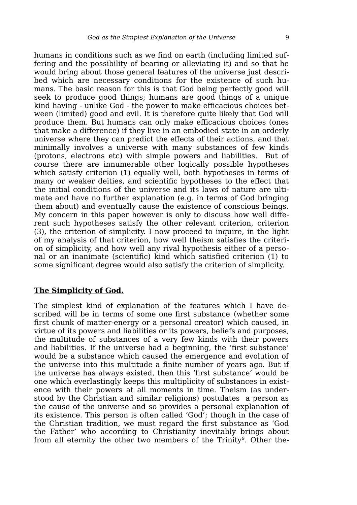humans in conditions such as we find on earth (including limited suffering and the possibility of bearing or alleviating it) and so that he would bring about those general features of the universe just described which are necessary conditions for the existence of such humans. The basic reason for this is that God being perfectly good will seek to produce good things; humans are good things of a unique kind having - unlike God - the power to make efficacious choices between (limited) good and evil. It is therefore quite likely that God will produce them. But humans can only make efficacious choices (ones that make a difference) if they live in an embodied state in an orderly universe where they can predict the effects of their actions, and that minimally involves a universe with many substances of few kinds (protons, electrons etc) with simple powers and liabilities. But of course there are innumerable other logically possible hypotheses which satisfy criterion (1) equally well, both hypotheses in terms of many or weaker deities, and scientific hypotheses to the effect that the initial conditions of the universe and its laws of nature are ultimate and have no further explanation (e.g. in terms of God bringing them about) and eventually cause the existence of conscious beings. My concern in this paper however is only to discuss how well different such hypotheses satisfy the other relevant criterion, criterion (3), the criterion of simplicity. I now proceed to inquire, in the light of my analysis of that criterion, how well theism satisfies the criterion of simplicity, and how well any rival hypothesis either of a personal or an inanimate (scientific) kind which satisfied criterion (1) to some significant degree would also satisfy the criterion of simplicity.

## **The Simplicity of God.**

The simplest kind of explanation of the features which I have described will be in terms of some one first substance (whether some first chunk of matter-energy or a personal creator) which caused, in virtue of its powers and liabilities or its powers, beliefs and purposes, the multitude of substances of a very few kinds with their powers and liabilities. If the universe had a beginning, the 'first substance' would be a substance which caused the emergence and evolution of the universe into this multitude a finite number of years ago. But if the universe has always existed, then this 'first substance' would be one which everlastingly keeps this multiplicity of substances in existence with their powers at all moments in time. Theism (as understood by the Christian and similar religions) postulates a person as the cause of the universe and so provides a personal explanation of its existence. This person is often called 'God'; though in the case of the Christian tradition, we must regard the first substance as 'God the Father' who according to Christianity inevitably brings about from all eternity the other two members of the Trinity<sup>9</sup>. Other the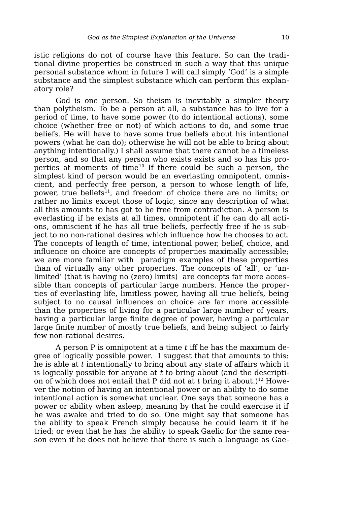istic religions do not of course have this feature. So can the traditional divine properties be construed in such a way that this unique personal substance whom in future I will call simply 'God' is a simple substance and the simplest substance which can perform this explanatory role?

God is one person. So theism is inevitably a simpler theory than polytheism. To be a person at all, a substance has to live for a period of time, to have some power (to do intentional actions), some choice (whether free or not) of which actions to do, and some true beliefs. He will have to have some true beliefs about his intentional powers (what he can do); otherwise he will not be able to bring about anything intentionally.) I shall assume that there cannot be a timeless person, and so that any person who exists exists and so has his properties at moments of time<sup>10</sup> If there could be such a person, the simplest kind of person would be an everlasting omnipotent, omniscient, and perfectly free person, a person to whose length of life, power, true beliefs<sup>11</sup>, and freedom of choice there are no limits; or rather no limits except those of logic, since any description of what all this amounts to has got to be free from contradiction. A person is everlasting if he exists at all times, omnipotent if he can do all actions, omniscient if he has all true beliefs, perfectly free if he is subject to no non-rational desires which influence how he chooses to act. The concepts of length of time, intentional power, belief, choice, and influence on choice are concepts of properties maximally accessible; we are more familiar with paradigm examples of these properties than of virtually any other properties. The concepts of 'all', or 'unlimited' (that is having no (zero) limits) are concepts far more accessible than concepts of particular large numbers. Hence the properties of everlasting life, limitless power, having all true beliefs, being subject to no causal influences on choice are far more accessible than the properties of living for a particular large number of years, having a particular large finite degree of power, having a particular large finite number of mostly true beliefs, and being subject to fairly few non-rational desires.

A person P is omnipotent at a time *t* iff he has the maximum degree of logically possible power. I suggest that that amounts to this: he is able at *t* intentionally to bring about any state of affairs which it is logically possible for anyone at *t* to bring about (and the description of which does not entail that P did not at  $t$  bring it about.)<sup>12</sup> However the notion of having an intentional power or an ability to do some intentional action is somewhat unclear. One says that someone has a power or ability when asleep, meaning by that he could exercise it if he was awake and tried to do so. One might say that someone has the ability to speak French simply because he could learn it if he tried; or even that he has the ability to speak Gaelic for the same reason even if he does not believe that there is such a language as Gae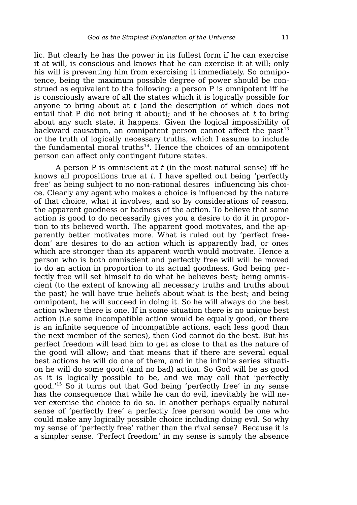lic. But clearly he has the power in its fullest form if he can exercise it at will, is conscious and knows that he can exercise it at will; only his will is preventing him from exercising it immediately. So omnipotence, being the maximum possible degree of power should be construed as equivalent to the following: a person P is omnipotent iff he is consciously aware of all the states which it is logically possible for anyone to bring about at *t* (and the description of which does not entail that P did not bring it about); and if he chooses at *t* to bring about any such state, it happens. Given the logical impossibility of backward causation, an omnipotent person cannot affect the past<sup>13</sup> or the truth of logically necessary truths, which I assume to include the fundamental moral truths $14$ . Hence the choices of an omnipotent person can affect only contingent future states.

A person P is omniscient at *t* (in the most natural sense) iff he knows all propositions true at *t*. I have spelled out being 'perfectly free' as being subject to no non-rational desires influencing his choice. Clearly any agent who makes a choice is influenced by the nature of that choice, what it involves, and so by considerations of reason, the apparent goodness or badness of the action. To believe that some action is good to do necessarily gives you a desire to do it in proportion to its believed worth. The apparent good motivates, and the apparently better motivates more. What is ruled out by 'perfect freedom' are desires to do an action which is apparently bad, or ones which are stronger than its apparent worth would motivate. Hence a person who is both omniscient and perfectly free will will be moved to do an action in proportion to its actual goodness. God being perfectly free will set himself to do what he believes best; being omniscient (to the extent of knowing all necessary truths and truths about the past) he will have true beliefs about what is the best; and being omnipotent, he will succeed in doing it. So he will always do the best action where there is one. If in some situation there is no unique best action (i.e some incompatible action would be equally good, or there is an infinite sequence of incompatible actions, each less good than the next member of the series), then God cannot do the best. But his perfect freedom will lead him to get as close to that as the nature of the good will allow; and that means that if there are several equal best actions he will do one of them, and in the infinite series situation he will do some good (and no bad) action. So God will be as good as it is logically possible to be, and we may call that 'perfectly good.'<sup>15</sup> So it turns out that God being 'perfectly free' in my sense has the consequence that while he can do evil, inevitably he will never exercise the choice to do so. In another perhaps equally natural sense of 'perfectly free' a perfectly free person would be one who could make any logically possible choice including doing evil. So why my sense of 'perfectly free' rather than the rival sense? Because it is a simpler sense. 'Perfect freedom' in my sense is simply the absence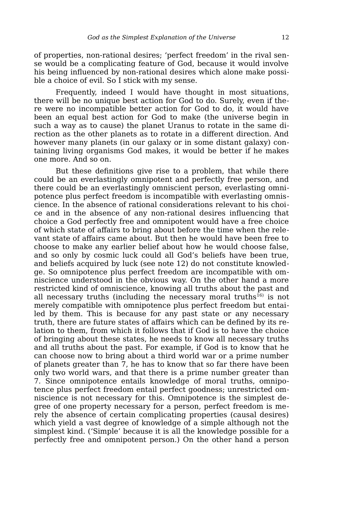of properties, non-rational desires; 'perfect freedom' in the rival sense would be a complicating feature of God, because it would involve his being influenced by non-rational desires which alone make possible a choice of evil. So I stick with my sense.

Frequently, indeed I would have thought in most situations, there will be no unique best action for God to do. Surely, even if there were no incompatible better action for God to do, it would have been an equal best action for God to make (the universe begin in such a way as to cause) the planet Uranus to rotate in the same direction as the other planets as to rotate in a different direction. And however many planets (in our galaxy or in some distant galaxy) containing living organisms God makes, it would be better if he makes one more. And so on.

But these definitions give rise to a problem, that while there could be an everlastingly omnipotent and perfectly free person, and there could be an everlastingly omniscient person, everlasting omnipotence plus perfect freedom is incompatible with everlasting omniscience. In the absence of rational considerations relevant to his choice and in the absence of any non-rational desires influencing that choice a God perfectly free and omnipotent would have a free choice of which state of affairs to bring about before the time when the relevant state of affairs came about. But then he would have been free to choose to make any earlier belief about how he would choose false, and so only by cosmic luck could all God's beliefs have been true, and beliefs acquired by luck (see note 12) do not constitute knowledge. So omnipotence plus perfect freedom are incompatible with omniscience understood in the obvious way. On the other hand a more restricted kind of omniscience, knowing all truths about the past and all necessary truths (including the necessary moral truths $16$ ) is not merely compatible with omnipotence plus perfect freedom but entailed by them. This is because for any past state or any necessary truth, there are future states of affairs which can be defined by its relation to them, from which it follows that if God is to have the choice of bringing about these states, he needs to know all necessary truths and all truths about the past. For example, if God is to know that he can choose now to bring about a third world war or a prime number of planets greater than 7, he has to know that so far there have been only two world wars, and that there is a prime number greater than 7. Since omnipotence entails knowledge of moral truths, omnipotence plus perfect freedom entail perfect goodness; unrestricted omniscience is not necessary for this. Omnipotence is the simplest degree of one property necessary for a person, perfect freedom is merely the absence of certain complicating properties (causal desires) which yield a vast degree of knowledge of a simple although not the simplest kind. ('Simple' because it is all the knowledge possible for a perfectly free and omnipotent person.) On the other hand a person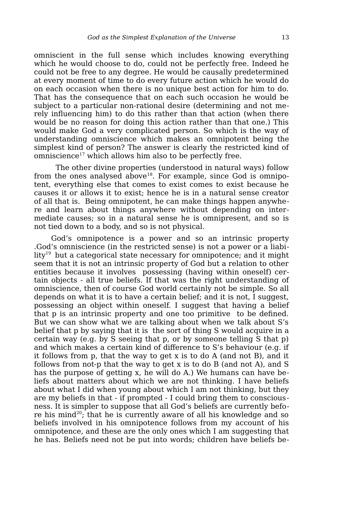omniscient in the full sense which includes knowing everything which he would choose to do, could not be perfectly free. Indeed he could not be free to any degree. He would be causally predetermined at every moment of time to do every future action which he would do on each occasion when there is no unique best action for him to do. That has the consequence that on each such occasion he would be subject to a particular non-rational desire (determining and not merely influencing him) to do this rather than that action (when there would be no reason for doing this action rather than that one.) This would make God a very complicated person. So which is the way of understanding omniscience which makes an omnipotent being the simplest kind of person? The answer is clearly the restricted kind of omniscience<sup>17</sup> which allows him also to be perfectly free.

The other divine properties (understood in natural ways) follow from the ones analysed above<sup>18</sup>. For example, since God is omnipotent, everything else that comes to exist comes to exist because he causes it or allows it to exist; hence he is in a natural sense creator of all that is. Being omnipotent, he can make things happen anywhere and learn about things anywhere without depending on intermediate causes; so in a natural sense he is omnipresent, and so is not tied down to a body, and so is not physical.

God's omnipotence is a power and so an intrinsic property .God's omniscience (in the restricted sense) is not a power or a liabi- $\mathrm{lity}^{19}$  but a categorical state necessary for omnipotence; and it might seem that it is not an intrinsic property of God but a relation to other entities because it involves possessing (having within oneself) certain objects - all true beliefs. If that was the right understanding of omniscience, then of course God world certainly not be simple. So all depends on what it is to have a certain belief; and it is not, I suggest, possessing an object within oneself. I suggest that having a belief that p is an intrinsic property and one too primitive to be defined. But we can show what we are talking about when we talk about S's belief that p by saying that it is the sort of thing S would acquire in a certain way (e.g. by S seeing that p, or by someone telling S that p) and which makes a certain kind of difference to S's behaviour (e.g. if it follows from p, that the way to get x is to do A (and not B), and it follows from not-p that the way to get x is to do B (and not A), and S has the purpose of getting x, he will do A.) We humans can have beliefs about matters about which we are not thinking. I have beliefs about what I did when young about which I am not thinking, but they are my beliefs in that - if prompted - I could bring them to consciousness. It is simpler to suppose that all God's beliefs are currently before his mind<sup>20</sup>; that he is currently aware of all his knowledge and so beliefs involved in his omnipotence follows from my account of his omnipotence, and these are the only ones which I am suggesting that he has. Beliefs need not be put into words; children have beliefs be-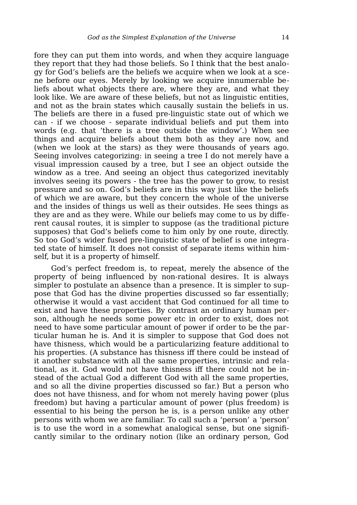fore they can put them into words, and when they acquire language they report that they had those beliefs. So I think that the best analogy for God's beliefs are the beliefs we acquire when we look at a scene before our eyes. Merely by looking we acquire innumerable beliefs about what objects there are, where they are, and what they look like. We are aware of these beliefs, but not as linguistic entities, and not as the brain states which causally sustain the beliefs in us. The beliefs are there in a fused pre-linguistic state out of which we can - if we choose - separate individual beliefs and put them into words (e.g. that 'there is a tree outside the window'.) When see things and acquire beliefs about them both as they are now, and (when we look at the stars) as they were thousands of years ago. Seeing involves categorizing: in seeing a tree I do not merely have a visual impression caused by a tree, but I see an object outside the window as a tree. And seeing an object thus categorized inevitably involves seeing its powers - the tree has the power to grow, to resist pressure and so on. God's beliefs are in this way just like the beliefs of which we are aware, but they concern the whole of the universe and the insides of things us well as their outsides. He sees things as they are and as they were. While our beliefs may come to us by different causal routes, it is simpler to suppose (as the traditional picture supposes) that God's beliefs come to him only by one route, directly. So too God's wider fused pre-linguistic state of belief is one integrated state of himself. It does not consist of separate items within himself, but it is a property of himself.

God's perfect freedom is, to repeat, merely the absence of the property of being influenced by non-rational desires. It is always simpler to postulate an absence than a presence. It is simpler to suppose that God has the divine properties discussed so far essentially; otherwise it would a vast accident that God continued for all time to exist and have these properties. By contrast an ordinary human person, although he needs some power etc in order to exist, does not need to have some particular amount of power if order to be the particular human he is. And it is simpler to suppose that God does not have thisness, which would be a particularizing feature additional to his properties. (A substance has thisness iff there could be instead of it another substance with all the same properties, intrinsic and relational, as it. God would not have thisness iff there could not be instead of the actual God a different God with all the same properties, and so all the divine properties discussed so far.) But a person who does not have thisness, and for whom not merely having power (plus freedom) but having a particular amount of power (plus freedom) is essential to his being the person he is, is a person unlike any other persons with whom we are familiar. To call such a 'person' a 'person' is to use the word in a somewhat analogical sense, but one significantly similar to the ordinary notion (like an ordinary person, God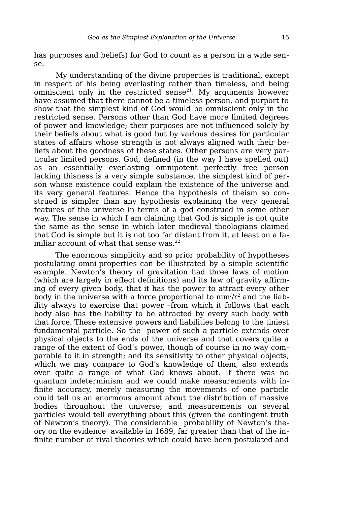has purposes and beliefs) for God to count as a person in a wide sense.

My understanding of the divine properties is traditional, except in respect of his being everlasting rather than timeless, and being omniscient only in the restricted sense<sup>21</sup>. My arguments however have assumed that there cannot be a timeless person, and purport to show that the simplest kind of God would be omniscient only in the restricted sense. Persons other than God have more limited degrees of power and knowledge; their purposes are not influenced solely by their beliefs about what is good but by various desires for particular states of affairs whose strength is not always aligned with their beliefs about the goodness of these states. Other persons are very particular limited persons. God, defined (in the way I have spelled out) as an essentially everlasting omnipotent perfectly free person lacking thisness is a very simple substance, the simplest kind of person whose existence could explain the existence of the universe and its very general features. Hence the hypothesis of theism so construed is simpler than any hypothesis explaining the very general features of the universe in terms of a god construed in some other way. The sense in which I am claiming that God is simple is not quite the same as the sense in which later medieval theologians claimed that God is simple but it is not too far distant from it, at least on a familiar account of what that sense was.<sup>22</sup>

The enormous simplicity and so prior probability of hypotheses postulating omni-properties can be illustrated by a simple scientific example. Newton's theory of gravitation had three laws of motion (which are largely in effect definitions) and its law of gravity affirming of every given body, that it has the power to attract every other body in the universe with a force proportional to  $mm/r^2$  and the liability always to exercise that power –from which it follows that each body also has the liability to be attracted by every such body with that force. These extensive powers and liabilities belong to the tiniest fundamental particle. So the power of such a particle extends over physical objects to the ends of the universe and that covers quite a range of the extent of God's power, though of course in no way comparable to it in strength; and its sensitivity to other physical objects, which we may compare to God's knowledge of them, also extends over quite a range of what God knows about. If there was no quantum indeterminism and we could make measurements with infinite accuracy, merely measuring the movements of one particle could tell us an enormous amount about the distribution of massive bodies throughout the universe; and measurements on several particles would tell everything about this (given the contingent truth of Newton's theory). The considerable probability of Newton's theory on the evidence available in 1689, far greater than that of the infinite number of rival theories which could have been postulated and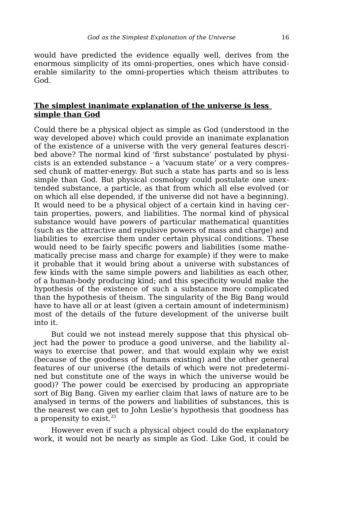would have predicted the evidence equally well, derives from the enormous simplicity of its omni-properties, ones which have considerable similarity to the omni-properties which theism attributes to God.

# **The simplest inanimate explanation of the universe is less simple than God**

Could there be a physical object as simple as God (understood in the way developed above) which could provide an inanimate explanation of the existence of a universe with the very general features described above? The normal kind of 'first substance' postulated by physicists is an extended substance – a 'vacuum state' or a very compressed chunk of matter-energy. But such a state has parts and so is less simple than God. But physical cosmology could postulate one unextended substance, a particle, as that from which all else evolved (or on which all else depended, if the universe did not have a beginning). It would need to be a physical object of a certain kind in having certain properties, powers, and liabilities. The normal kind of physical substance would have powers of particular mathematical quantities (such as the attractive and repulsive powers of mass and charge) and liabilities to exercise them under certain physical conditions. These would need to be fairly specific powers and liabilities (some mathematically precise mass and charge for example) if they were to make it probable that it would bring about a universe with substances of few kinds with the same simple powers and liabilities as each other, of a human-body producing kind; and this specificity would make the hypothesis of the existence of such a substance more complicated than the hypothesis of theism. The singularity of the Big Bang would have to have all or at least (given a certain amount of indeterminism) most of the details of the future development of the universe built into it.

But could we not instead merely suppose that this physical object had the power to produce a good universe, and the liability always to exercise that power, and that would explain why we exist (because of the goodness of humans existing) and the other general features of our universe (the details of which were not predetermined but constitute one of the ways in which the universe would be good)? The power could be exercised by producing an appropriate sort of Big Bang. Given my earlier claim that laws of nature are to be analysed in terms of the powers and liabilities of substances, this is the nearest we can get to John Leslie's hypothesis that goodness has a propensity to exist. $^{23}$ 

However even if such a physical object could do the explanatory work, it would not be nearly as simple as God. Like God, it could be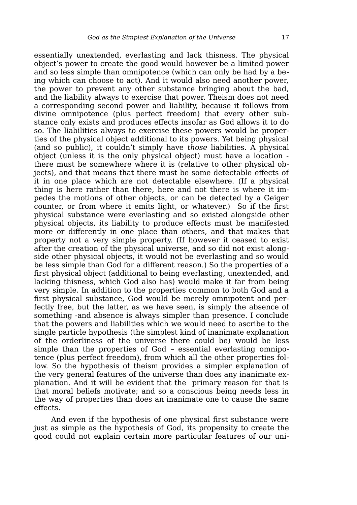essentially unextended, everlasting and lack thisness. The physical object's power to create the good would however be a limited power and so less simple than omnipotence (which can only be had by a being which can choose to act). And it would also need another power, the power to prevent any other substance bringing about the bad, and the liability always to exercise that power. Theism does not need a corresponding second power and liability, because it follows from divine omnipotence (plus perfect freedom) that every other substance only exists and produces effects insofar as God allows it to do so. The liabilities always to exercise these powers would be properties of the physical object additional to its powers. Yet being physical (and so public), it couldn't simply have *those* liabilities. A physical object (unless it is the only physical object) must have a location there must be somewhere where it is (relative to other physical objects), and that means that there must be some detectable effects of it in one place which are not detectable elsewhere. (If a physical thing is here rather than there, here and not there is where it impedes the motions of other objects, or can be detected by a Geiger counter, or from where it emits light, or whatever.) So if the first physical substance were everlasting and so existed alongside other physical objects, its liability to produce effects must be manifested more or differently in one place than others, and that makes that property not a very simple property. (If however it ceased to exist after the creation of the physical universe, and so did not exist alongside other physical objects, it would not be everlasting and so would be less simple than God for a different reason.) So the properties of a first physical object (additional to being everlasting, unextended, and lacking thisness, which God also has) would make it far from being very simple. In addition to the properties common to both God and a first physical substance, God would be merely omnipotent and perfectly free, but the latter, as we have seen, is simply the absence of something -and absence is always simpler than presence. I conclude that the powers and liabilities which we would need to ascribe to the single particle hypothesis (the simplest kind of inanimate explanation of the orderliness of the universe there could be) would be less simple than the properties of God – essential everlasting omnipotence (plus perfect freedom), from which all the other properties follow. So the hypothesis of theism provides a simpler explanation of the very general features of the universe than does any inanimate explanation. And it will be evident that the primary reason for that is that moral beliefs motivate; and so a conscious being needs less in the way of properties than does an inanimate one to cause the same effects.

And even if the hypothesis of one physical first substance were just as simple as the hypothesis of God, its propensity to create the good could not explain certain more particular features of our uni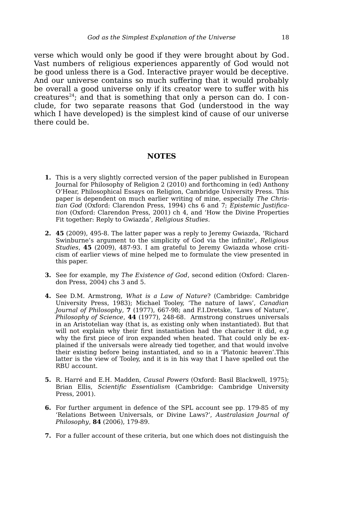verse which would only be good if they were brought about by God. Vast numbers of religious experiences apparently of God would not be good unless there is a God. Interactive prayer would be deceptive. And our universe contains so much suffering that it would probably be overall a good universe only if its creator were to suffer with his creatures<sup>24</sup>; and that is something that only a person can do. I conclude, for two separate reasons that God (understood in the way which I have developed) is the simplest kind of cause of our universe there could be.

## **NOTES**

- **1.** This is a very slightly corrected version of the paper published in European Journal for Philosophy of Religion 2 (2010) and forthcoming in (ed) Anthony O'Hear, Philosophical Essays on Religion, Cambridge University Press. This paper is dependent on much earlier writing of mine, especially *The Christian God* (Oxford: Clarendon Press, 1994) chs 6 and 7; *Epistemic Justification* (Oxford: Clarendon Press, 2001) ch 4, and 'How the Divine Properties Fit together: Reply to Gwiazda', *Religious Studies.*
- **2. 45** (2009), 495-8. The latter paper was a reply to Jeremy Gwiazda, 'Richard Swinburne's argument to the simplicity of God via the infinite', *Religious Studies*, **45** (2009), 487-93. I am grateful to Jeremy Gwiazda whose criticism of earlier views of mine helped me to formulate the view presented in this paper.
- **3.** See for example, my *The Existence of God*, second edition (Oxford: Clarendon Press, 2004) chs 3 and 5.
- **4.** See D.M. Armstrong, *What is a Law of Nature*? (Cambridge: Cambridge University Press, 1983); Michael Tooley, 'The nature of laws', *Canadian Journal of Philosophy*, **7** (1977), 667-98; and F.I.Dretske, 'Laws of Nature', *Philosophy of Science*, **44** (1977), 248-68. Armstrong construes universals in an Aristotelian way (that is, as existing only when instantiated). But that will not explain why their first instantiation had the character it did, e.g why the first piece of iron expanded when heated. That could only be explained if the universals were already tied together, and that would involve their existing before being instantiated, and so in a 'Platonic heaven'.This latter is the view of Tooley, and it is in his way that I have spelled out the RBU account.
- **5.** R. Harré and E.H. Madden, *Causal Powers* (Oxford: Basil Blackwell, 1975); Brian Ellis, *Scientific Essentialism* (Cambridge: Cambridge University Press, 2001).
- **6.** For further argument in defence of the SPL account see pp. 179-85 of my 'Relations Between Universals, or Divine Laws?', *Australasian Journal of Philosophy*, **84** (2006), 179-89.
- **7.** For a fuller account of these criteria, but one which does not distinguish the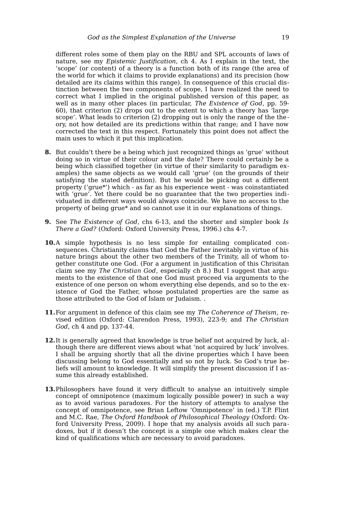different roles some of them play on the RBU and SPL accounts of laws of nature, see my *Epistemic Justification*, ch 4. As I explain in the text, the 'scope' (or content) of a theory is a function both of its range (the area of the world for which it claims to provide explanations) and its precision (how detailed are its claims within this range). In consequence of this crucial distinction between the two components of scope, I have realized the need to correct what I implied in the original published version of this paper, as well as in many other places (in particular, *The Existence of God*, pp. 59- 60), that criterion (2) drops out to the extent to which a theory has 'large scope'. What leads to criterion (2) dropping out is only the range of the theory, not how detailed are its predictions within that range; and I have now corrected the text in this respect. Fortunately this point does not affect the main uses to which it put this implication.

- **8.** But couldn't there be a being which just recognized things as 'grue' without doing so in virtue of their colour and the date? There could certainly be a being which classified together (in virtue of their similarity to paradigm examples) the same objects as we would call 'grue' (on the grounds of their satisfying the stated definition). But he would be picking out a different property ('grue\*') which - as far as his experience went - was coinstantiated with 'grue'. Yet there could be no guarantee that the two properties individuated in different ways would always coincide. We have no access to the property of being grue\* and so cannot use it in our explanations of things.
- **9.** See *The Existence of God*, chs 6-13, and the shorter and simpler book *Is There a God?* (Oxford: Oxford University Press, 1996.) chs 4-7.
- **10.**A simple hypothesis is no less simple for entailing complicated consequences. Christianity claims that God the Father inevitably in virtue of his nature brings about the other two members of the Trinity, all of whom together constitute one God. (For a argument in justification of this Chrisitan claim see my *The Christian God*, especially ch 8.) But I suggest that arguments to the existence of that one God must proceed via arguments to the existence of one person on whom everything else depends, and so to the existence of God the Father, whose postulated properties are the same as those attributed to the God of Islam or Judaism. .
- **11.**For argument in defence of this claim see my *The Coherence of Theism*, revised edition (Oxford: Clarendon Press, 1993), 223-9; and *The Christian God*, ch 4 and pp. 137-44.
- **12.**It is generally agreed that knowledge is true belief not acquired by luck, although there are different views about what 'not acquired by luck' involves. I shall be arguing shortly that all the divine properties which I have been discussing belong to God essentially and so not by luck. So God's true beliefs will amount to knowledge. It will simplify the present discussion if I assume this already established.
- **13.**Philosophers have found it very difficult to analyse an intuitively simple concept of omnipotence (maximum logically possible power) in such a way as to avoid various paradoxes. For the history of attempts to analyse the concept of omnipotence, see Brian Leftow 'Omnipotence' in (ed.) T.P. Flint and M.C. Rae, *The Oxford Handbook of Philosophical Theology* (Oxford: Oxford University Press, 2009). I hope that my analysis avoids all such paradoxes, but if it doesn't the concept is a simple one which makes clear the kind of qualifications which are necessary to avoid paradoxes.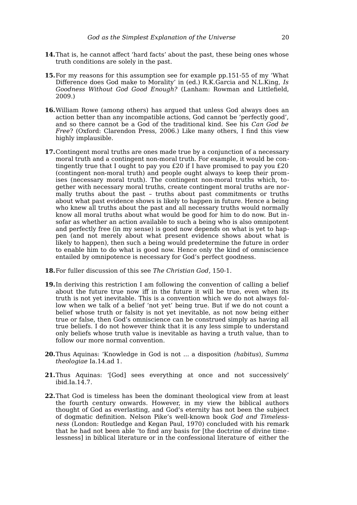- **14.**That is, he cannot affect 'hard facts' about the past, these being ones whose truth conditions are solely in the past.
- **15.**For my reasons for this assumption see for example pp.151-55 of my 'What Difference does God make to Morality' in (ed.) R.K.Garcia and N.L.King, *Is Goodness Without God Good Enough?* (Lanham: Rowman and Littlefield, 2009.)
- **16.**William Rowe (among others) has argued that unless God always does an action better than any incompatible actions, God cannot be 'perfectly good', and so there cannot be a God of the traditional kind. See his *Can God be Free*? (Oxford: Clarendon Press, 2006.) Like many others, I find this view highly implausible.
- **17.**Contingent moral truths are ones made true by a conjunction of a necessary moral truth and a contingent non-moral truth. For example, it would be contingently true that I ought to pay you £20 if I have promised to pay you £20 (contingent non-moral truth) and people ought always to keep their promises (necessary moral truth). The contingent non-moral truths which, together with necessary moral truths, create contingent moral truths are normally truths about the past – truths about past commitments or truths about what past evidence shows is likely to happen in future. Hence a being who knew all truths about the past and all necessary truths would normally know all moral truths about what would be good for him to do now. But insofar as whether an action available to such a being who is also omnipotent and perfectly free (in my sense) is good now depends on what is yet to happen (and not merely about what present evidence shows about what is likely to happen), then such a being would predetermine the future in order to enable him to do what is good now. Hence only the kind of omniscience entailed by omnipotence is necessary for God's perfect goodness.
- **18.**For fuller discussion of this see *The Christian God*, 150-1.
- **19.**In deriving this restriction I am following the convention of calling a belief about the future true now iff in the future it will be true, even when its truth is not yet inevitable. This is a convention which we do not always follow when we talk of a belief 'not yet' being true. But if we do not count a belief whose truth or falsity is not yet inevitable, as not now being either true or false, then God's omniscience can be construed simply as having all true beliefs. I do not however think that it is any less simple to understand only beliefs whose truth value is inevitable as having a truth value, than to follow our more normal convention.
- **20.**Thus Aquinas: 'Knowledge in God is not ... a disposition *(habitus*), *Summa theologiae* Ia.14.ad 1.
- **21.**Thus Aquinas: '[God] sees everything at once and not successively' ibid.Ia.14.7.
- **22.**That God is timeless has been the dominant theological view from at least the fourth century onwards. However, in my view the biblical authors thought of God as everlasting, and God's eternity has not been the subject of dogmatic definition. Nelson Pike's well-known book *God and Timelessness* (London: Routledge and Kegan Paul, 1970) concluded with his remark that he had not been able 'to find any basis for [the doctrine of divine timelessness] in biblical literature or in the confessional literature of either the